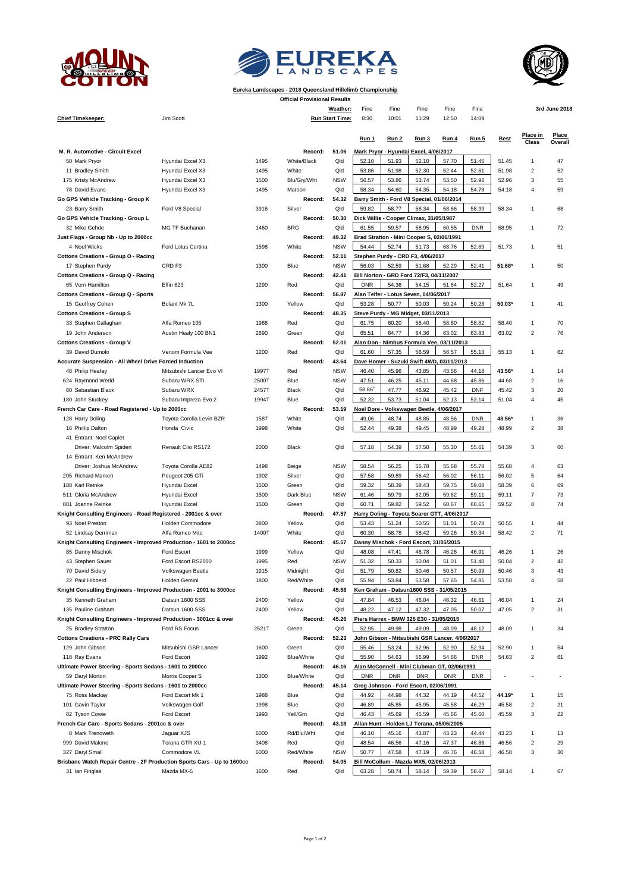





## **Eureka Landscapes - 2018 Queensland Hillclimb Championship Official Provisional Results**

| <b>Chief Timekeeper:</b>                                                         | Jim Scott                           |               |                   | Weather:<br><b>Run Start Time:</b> | Fine<br>8:30                                   | Fine<br>10:01  | Fine<br>11:29                                    | Fine<br>12:50                                  | Fine<br>14:09  |                 |                         | 3rd June 2018 |
|----------------------------------------------------------------------------------|-------------------------------------|---------------|-------------------|------------------------------------|------------------------------------------------|----------------|--------------------------------------------------|------------------------------------------------|----------------|-----------------|-------------------------|---------------|
|                                                                                  |                                     |               |                   |                                    |                                                |                |                                                  |                                                |                |                 | Place in                | Place         |
|                                                                                  |                                     |               |                   |                                    | Run 1                                          | Run 2          | Run 3                                            | Run 4                                          | <b>Run 5</b>   | <b>Best</b>     | <b>Class</b>            | Overall       |
| M. R. Automotive - Circuit Excel                                                 |                                     |               | Record:           | 51.06                              |                                                |                | Mark Pryor - Hyundai Excel, 4/06/2017            |                                                |                |                 |                         |               |
| 50 Mark Pryor                                                                    | Hyundai Excel X3                    | 1495          | White/Black       | Qld                                | 52.10                                          | 51.93          | 52.10                                            | 57.70                                          | 51.45          | 51.45           | 1                       | 47            |
| 11 Bradley Smith                                                                 | Hyundai Excel X3                    | 1495          | White             | Qld                                | 53.86                                          | 51.98          | 52.30                                            | 52.44                                          | 52.61          | 51.98           | $\overline{c}$          | 52            |
| 175 Kristy McAndrew                                                              | Hyundai Excel X3                    | 1500          | Blu/Gry/Wht       | <b>NSW</b>                         | 56.57                                          | 53.86          | 53.74                                            | 53.50                                          | 52.96          | 52.96           | 3                       | 55            |
| 78 David Evans                                                                   | Hyundai Excel X3                    | 1495          | Maroon            | Qld                                | 58.34                                          | 54.60          | 54.35                                            | 54.18                                          | 54.78          | 54.18           | $\overline{4}$          | 59            |
| Go GPS Vehicle Tracking - Group K                                                |                                     |               | Record:           | 54.32<br>Qld                       |                                                |                | Barry Smith - Ford V8 Special, 01/06/2014        |                                                |                |                 |                         |               |
| 23 Barry Smith<br>Go GPS Vehicle Tracking - Group L                              | Ford V8 Special                     | 3916          | Silver<br>Record: | 50.30                              | 59.82                                          | 58.77          | 58.34                                            | 58.66                                          | 58.99          | 58.34           | 1                       | 68            |
| 32 Mike Gehde                                                                    | MG TF Buchanan                      | 1460          | <b>BRG</b>        | Qld                                | 61.55                                          | 59.57          | Dick Willis - Cooper Climax, 31/05/1987<br>58.95 | 60.55                                          | <b>DNR</b>     | 58.95           | 1                       | 72            |
| Just Flags - Group Nb - Up to 2000cc                                             |                                     |               | Record:           | 49.32                              |                                                |                | Brad Stratton - Mini Cooper S, 02/06/1991        |                                                |                |                 |                         |               |
| 4 Noel Wicks                                                                     | Ford Lotus Cortina                  | 1598          | White             | <b>NSW</b>                         | 54.44                                          | 52.74          | 51.73                                            | 68.76                                          | 52.69          | 51.73           | 1                       | 51            |
| <b>Cottons Creations - Group O - Racing</b>                                      |                                     |               | Record:           | 52.11                              |                                                |                | Stephen Purdy - CRD F3, 4/06/2017                |                                                |                |                 |                         |               |
| 17 Stephen Purdy                                                                 | CRD <sub>F3</sub>                   | 1300          | Blue              | <b>NSW</b>                         | 56.03                                          | 52.59          | 51.68                                            | 52.29                                          | 52.41          | 51.68*          | $\mathbf{1}$            | 50            |
| <b>Cottons Creations - Group Q - Racing</b>                                      |                                     |               | Record:           | 42.41                              |                                                |                | Bill Norton - GRD Ford 72/F3, 04/11/2007         |                                                |                |                 |                         |               |
| 65 Vern Hamilton                                                                 | Elfin 623                           | 1290          | Red               | Qld                                | 52.27<br><b>DNR</b><br>54.36<br>54.15<br>51.64 |                |                                                  |                                                | 51.64          | 1               | 49                      |               |
| <b>Cottons Creations - Group Q - Sports</b>                                      |                                     |               | Record:           | 56.87                              |                                                |                | Alan Telfer - Lotus Seven, 04/06/2017            |                                                |                |                 |                         |               |
| 15 Geoffrey Cohen                                                                | Bulant Mk 7L                        | 1300          | Yellow            | Qld                                | 53.28                                          | 50.77          | 50.03                                            | 50.24                                          | 50.28          | 50.03*          | 1                       | 41            |
| <b>Cottons Creations - Group S</b>                                               |                                     |               | Record:           | 48.35                              |                                                |                | Steve Purdy - MG Midget, 03/11/2013              |                                                |                |                 |                         |               |
| 33 Stephen Callaghan                                                             | Alfa Romeo 105                      | 1968          | Red               | Qld                                | 61.75                                          | 60.20          | 58.40                                            | 58.80                                          | 58.82          | 58.40           | 1                       | 70            |
| 19 John Anderson                                                                 | Austin Healy 100 BN1                | 2690          | Green             | Qld                                | 65.51                                          | 64.77          | 64.36                                            | 63.02                                          | 63.83          | 63.02           | $\overline{c}$          | 76            |
| <b>Cottons Creations - Group V</b>                                               |                                     |               | Record:           | 52.01                              |                                                |                |                                                  | Alan Don - Nimbus Formula Vee, 03/11/2013      |                |                 |                         |               |
| 39 David Dumolo                                                                  | Venom Formula Vee                   | 1200          | Red               | Qld                                | 61.60                                          | 57.35          | 56.59                                            | 56.57                                          | 55.13          | 55.13           | $\mathbf{1}$            | 62            |
| Accurate Suspension - All Wheel Drive Forced Induction                           | Mitsubishi Lancer Evo VI            | 1997T         | Record:<br>Red    | 43.64<br><b>NSW</b>                |                                                |                |                                                  | Dave Homer - Suzuki Swift 4WD, 03/11/2013      |                | 43.56*          | 1                       | 14            |
| 48 Philip Heafey<br>624 Raymond Wedd                                             | Subaru WRX STI                      | 2500T         | Blue              | <b>NSW</b>                         | 46.40<br>47.51                                 | 45.96<br>46.25 | 43.85<br>45.11                                   | 43.56<br>44.68                                 | 44.18<br>45.86 | 44.68           | $\overline{c}$          | 16            |
| 60 Sebastian Black                                                               | Subaru WRX                          | 2457T         | Black             | Qld                                | 58.86+                                         | 47.77          | 46.92                                            | 45.42                                          | <b>DNF</b>     | 45.42           | 3                       | 20            |
| 180 John Stuckey                                                                 | Subaru Impreza Evo.2                | 1994T         | Blue              | Qld                                | 52.32                                          | 53.73          | 51.04                                            | 52.13                                          | 53.14          | 51.04           | $\overline{4}$          | 45            |
| French Car Care - Road Registered - Up to 2000cc                                 |                                     |               | Record:           | 53.19                              |                                                |                | Noel Dore - Volkswagen Beetle,                   | 4/06/2017                                      |                |                 |                         |               |
| 128 Harry Doling                                                                 | Toyota Corolla Levin BZR            | 1587          | White             | Qld                                | 49.06                                          | 48.74          | 48.85                                            | 48.56                                          | <b>DNR</b>     | 48.56*          | $\mathbf{1}$            | 36            |
| 16 Phillip Dalton                                                                | Honda Civic                         | 1998          | White             | Qld                                | 52.44                                          | 49.38          | 49.45                                            | 48.99                                          | 49.28          | 48.99           | $\overline{2}$          | 38            |
| 41 Entrant: Noel Caplet                                                          |                                     |               |                   |                                    |                                                |                |                                                  |                                                |                |                 |                         |               |
| Driver: Malcolm Spiden                                                           | Renault Clio RS172                  | 2000          | Black             | Qld                                | 57.18                                          | 54.39          | 57.50                                            | 55.30                                          | 55.61          | 54.39           | 3                       | 60            |
| 14 Entrant: Ken McAndrew                                                         |                                     |               |                   |                                    |                                                |                |                                                  |                                                |                |                 |                         |               |
| Driver: Joshua McAndrew                                                          | Toyota Corolla AE82                 | 1498          | Beige             | <b>NSW</b>                         | 58.54                                          | 56.25          | 55.78                                            | 55.68                                          | 55.78          | 55.68           | $\overline{4}$          | 63            |
| 205 Richard Marken                                                               | Peugeot 205 GTi                     | 1902          | Silver            | Qld                                | 57.58                                          | 59.89          | 56.42                                            | 56.02                                          | 56.11          | 56.02           | 5                       | 64            |
| 188 Karl Reinke                                                                  | Hyundai Excel                       | 1500          | Green             | Qld                                | 59.32                                          | 58.39          | 58.43                                            | 59.75                                          | 59.08          | 58.39           | 6                       | 69            |
| 511 Gloria McAndrew                                                              | Hyundai Excel                       | 1500          | Dark Blue         | <b>NSW</b>                         | 61.46                                          | 59.79          | 62.05                                            | 59.62                                          | 59.11          | 59.11           | $\overline{7}$          | 73            |
| 881 Joanne Reinke                                                                | Hyundai Excel                       | 1500          | Green             | Qld                                | 60.71                                          | 59.82          | 59.52                                            | 60.67                                          | 60.65          | 59.52           | 8                       | 74            |
| Knight Consulting Engineers - Road Registered - 2001cc & over<br>93 Noel Preston |                                     |               | Record:           | 47.57<br>Qld                       |                                                |                |                                                  | Harry Doling - Toyota Soarer GTT, 4/06/2017    |                |                 | 1                       |               |
| 52 Lindsay Derriman                                                              | Holden Commodore<br>Alfa Romeo Mito | 3800<br>1400T | Yellow<br>White   | Qld                                | 53.43<br>60.30                                 | 51.24<br>58.78 | 50.55<br>58.42                                   | 51.01<br>59.26                                 | 50.78<br>59.34 | 50.55<br>58.42  | $\overline{c}$          | 44<br>71      |
| Knight Consulting Engineers - Improved Production - 1601 to 2000cc               |                                     |               | Record:           | 45.57                              |                                                |                | Danny Mischok - Ford Escort, 31/05/2015          |                                                |                |                 |                         |               |
| 85 Danny Mischok                                                                 | Ford Escort                         | 1999          | Yellow            | Qld                                | 48.08                                          | 47.41          | 46.78                                            | 46.26                                          | 46.91          | 46.26           | $\mathbf{1}$            | 26            |
| 43 Stephen Sauer                                                                 | Ford Escort RS2000                  | 1995          | Red               | <b>NSW</b>                         | 51.32                                          | 50.33          | 50.04                                            | 51.01                                          | 51.40          | 50.04           | $\overline{\mathbf{c}}$ | 42            |
| 70 David Sidery                                                                  | Volkswagen Beetle                   | 1915          | Midnight          | Qld                                | 51.79                                          | 50.82          | 50.46                                            | 50.57                                          | 50.99          | 50.46           | 3                       | 43            |
| 22 Paul Hibberd                                                                  | Holden Gemini                       | 1800          | Red/White         | Qld                                | 55.94                                          | 53.84          | 53.58                                            | 57.65                                          | 54.85          | 53.58           |                         |               |
| Knight Consulting Engineers - Improved Production - 2001 to 3000cc               |                                     |               | Record:           | 45.58                              |                                                |                |                                                  | Ken Graham - Datsun1600 SSS - 31/05/2015       |                |                 |                         |               |
| 35 Kenneth Graham                                                                | Datsun 1600 SSS                     | 2400          | Yellow            | Qld                                | 47.84                                          | 46.53          | 46.04                                            | 46.32                                          | 46.61          | 46.04           | 1                       | 24            |
| 135 Pauline Graham                                                               | Datsun 1600 SSS                     | 2400          | Yellow            | Qld                                | 48.22                                          | 47.12          | 47.32                                            | 47.05                                          | 50.07          | 47.05           | $\overline{c}$          | 31            |
| Knight Consulting Engineers - Improved Production - 3001cc & over                |                                     |               | Record:           | 45.26                              |                                                |                | Piers Harrex - BMW 325 E30 - 31/05/2015          |                                                |                |                 |                         |               |
| 25 Bradley Stratton                                                              | Ford RS Focus                       | 2521T         | Green             | Qld                                | 52.95                                          | 49.98          | 49.09                                            | 48.09                                          | 48.12          | 48.09           | $\mathbf{1}$            | 34            |
| <b>Cottons Creations - PRC Rally Cars</b>                                        |                                     |               | Record:           | 52.23                              |                                                |                |                                                  | John Gibson - Mitsubishi GSR Lancer, 4/06/2017 |                |                 |                         |               |
| 129 John Gibson                                                                  | Mitsubishi GSR Lancer               | 1600          | Green             | Qld                                | 55.46                                          | 53.24          | 52.96                                            | 52.90                                          | 52.94          | 52.90           | 1                       | 54            |
| 118 Ray Evans                                                                    | Ford Escort                         | 1992          | Blue/White        | Qld                                | 55.90                                          | 54.63          | 56.99                                            | 54.66                                          | <b>DNR</b>     | 54.63           | $\overline{\mathbf{c}}$ | 61            |
| Ultimate Power Steering - Sports Sedans - 1601 to 2000cc                         |                                     |               | Record:           | 46.16                              |                                                |                |                                                  | Alan McConnell - Mini Clubman GT, 02/06/1991   |                |                 |                         |               |
| 59 Daryl Morton                                                                  | Morris Cooper S                     | 1300          | Blue/White        | Qld                                | <b>DNR</b>                                     | <b>DNR</b>     | <b>DNR</b>                                       | <b>DNR</b>                                     | <b>DNR</b>     |                 |                         |               |
| Ultimate Power Steering - Sports Sedans - 1601 to 2000cc                         |                                     |               | Record:           | 45.14                              |                                                |                | Greg Johnson - Ford Escort, 02/06/1991           |                                                |                |                 |                         |               |
| 75 Ross Mackay<br>101 Gavin Taylor                                               | Ford Escort Mk 1<br>Volkswagen Golf | 1988<br>1998  | Blue<br>Blue      | Qld<br>Qld                         | 44.92<br>46.89                                 | 44.98<br>45.85 | 44.32<br>45.95                                   | 44.19<br>45.58                                 | 44.52<br>46.29 | 44.19*<br>45.58 | 1<br>2                  | 15<br>21      |
| 82 Tyson Cowie                                                                   | Ford Escort                         | 1993          | Yell/Grn          | Qld                                | 46.43                                          | 45.69          | 45.59                                            | 45.66                                          | 45.60          | 45.59           | 3                       | 22            |
| French Car Care - Sports Sedans - 2001cc & over                                  |                                     |               | Record:           | 43.18                              |                                                |                |                                                  | Allan Hunt - Holden LJ Torana, 05/06/2005      |                |                 |                         |               |
| 8 Mark Trenoweth                                                                 | Jaguar XJS                          | 6000          | Rd/Blu/Wht        | Qld                                | 46.10                                          | 45.16          | 43.87                                            | 43.23                                          | 44.44          | 43.23           | 1                       | 13            |
| 999 David Malone                                                                 | Torana GTR XU-1                     | 3408          | Red               | Qld                                | 48.54                                          | 46.56          | 47.16                                            | 47.37                                          | 46.88          | 46.56           | 2                       | 29            |
| 327 Daryl Small                                                                  | Commodore VL                        | 6000          | Red/White         | <b>NSW</b>                         | 50.77                                          | 47.58          | 47.19                                            | 46.76                                          | 46.58          | 46.58           | 3                       | 30            |
| Brisbane Watch Repair Centre - 2F Production Sports Cars - Up to 1600cc          |                                     |               | Record:           | 54.05                              | Bill McCollum - Mazda MX5, 02/06/2013          |                |                                                  |                                                |                |                 |                         |               |
| 31 Ian Finglas                                                                   | Mazda MX-5                          | 1600          | Red               | Qld                                | 63.28                                          | 58.74          | 58.14                                            | 59.39                                          | 58.67          | 58.14           |                         | 67            |